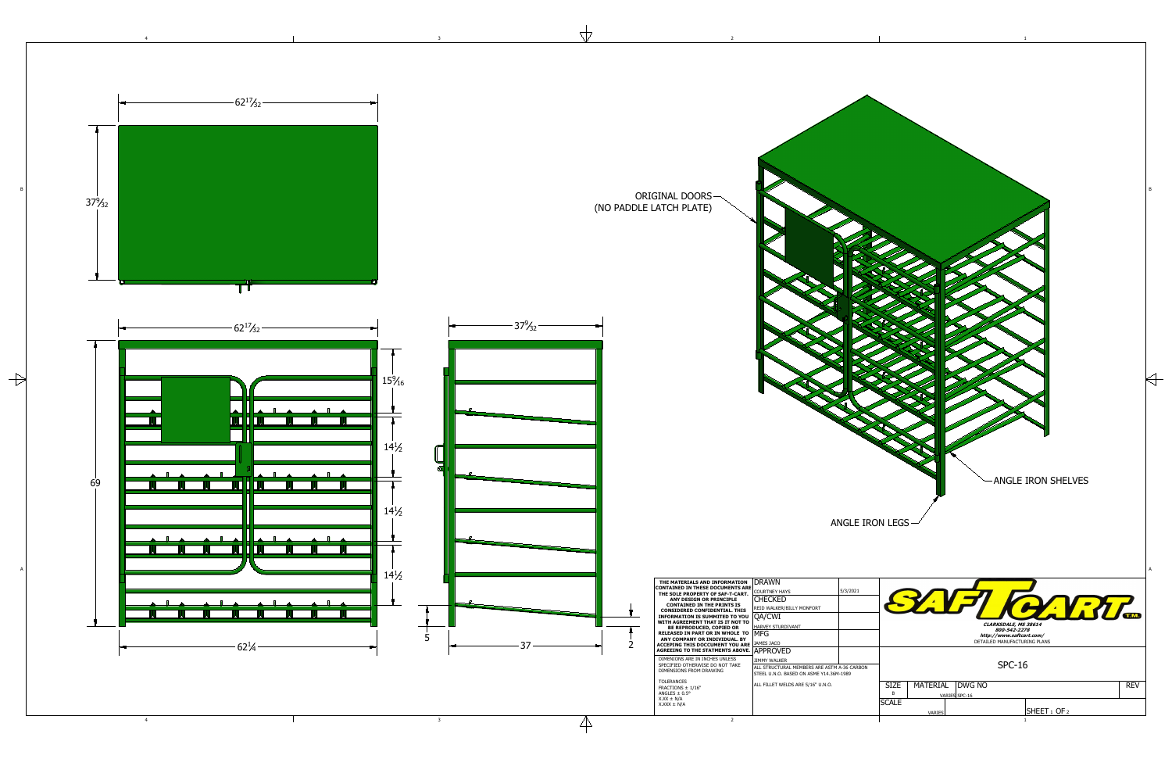1

2

4

 $\rightarrow$ 

 $\forall$